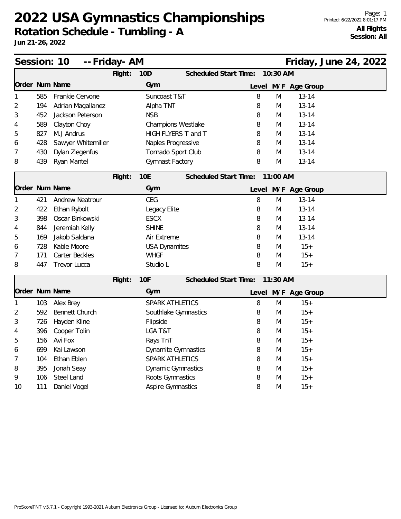|                |     | Session: 10<br>-- Friday- AM |         |                           |                              |   |          |                     | Friday, June 24, 2022 |  |
|----------------|-----|------------------------------|---------|---------------------------|------------------------------|---|----------|---------------------|-----------------------|--|
|                |     |                              | Flight: | <b>10D</b>                | <b>Scheduled Start Time:</b> |   | 10:30 AM |                     |                       |  |
| Order Num Name |     |                              |         | Gym                       |                              |   |          | Level M/F Age Group |                       |  |
|                | 585 | Frankie Cervone              |         | Suncoast T&T              |                              | 8 | M        | $13 - 14$           |                       |  |
| 2              | 194 | Adrian Magallanez            |         | Alpha TNT                 |                              | 8 | M        | $13 - 14$           |                       |  |
| 3              | 452 | Jackson Peterson             |         | <b>NSB</b>                |                              | 8 | M        | $13 - 14$           |                       |  |
| 4              | 589 | Clayton Choy                 |         | <b>Champions Westlake</b> |                              | 8 | M        | $13 - 14$           |                       |  |
| 5              | 827 | M.J Andrus                   |         | HIGH FLYERS T and T       |                              | 8 | M        | $13 - 14$           |                       |  |
| 6              | 428 | Sawyer Whitemiller           |         | Naples Progressive        |                              | 8 | M        | $13 - 14$           |                       |  |
| 7              | 430 | Dylan Ziegenfus              |         | Tornado Sport Club        |                              | 8 | M        | $13 - 14$           |                       |  |
| 8              | 439 | Ryan Mantel                  |         | Gymnast Factory           |                              | 8 | M        | $13 - 14$           |                       |  |
|                |     |                              | Flight: | <b>10E</b>                | <b>Scheduled Start Time:</b> |   | 11:00 AM |                     |                       |  |
| Order Num Name |     |                              |         | Gym                       |                              |   |          | Level M/F Age Group |                       |  |
| 1              | 421 | <b>Andrew Neatrour</b>       |         | <b>CEG</b>                |                              | 8 | M        | $13 - 14$           |                       |  |
| 2              | 422 | Ethan Rybolt                 |         | Legacy Elite              |                              | 8 | M        | $13 - 14$           |                       |  |
| 3              | 398 | Oscar Binkowski              |         | <b>ESCX</b>               |                              | 8 | M        | $13 - 14$           |                       |  |
| 4              | 844 | Jeremiah Kelly               |         | <b>SHINE</b>              |                              | 8 | M        | $13 - 14$           |                       |  |
| 5              | 169 | Jakob Saldana                |         | Air Extreme               |                              | 8 | M        | $13 - 14$           |                       |  |
| 6              | 728 | Kable Moore                  |         | <b>USA Dynamites</b>      |                              | 8 | M        | $15+$               |                       |  |
| 7              | 171 | Carter Beckles               |         | <b>WHGF</b>               |                              | 8 | M        | $15+$               |                       |  |
| 8              | 447 | Trevor Lucca                 |         | Studio L                  |                              | 8 | M        | $15+$               |                       |  |
|                |     |                              | Flight: | 10F                       | <b>Scheduled Start Time:</b> |   | 11:30 AM |                     |                       |  |
| Order Num Name |     |                              |         | Gym                       |                              |   |          | Level M/F Age Group |                       |  |
| 1              | 103 | Alex Brey                    |         | SPARK ATHLETICS           |                              | 8 | M        | $15+$               |                       |  |
| 2              | 592 | <b>Bennett Church</b>        |         | Southlake Gymnastics      |                              | 8 | M        | $15+$               |                       |  |
| 3              | 726 | Hayden Kline                 |         | Flipside                  |                              | 8 | M        | $15+$               |                       |  |
| 4              | 396 | Cooper Tolin                 |         | LGA T&T                   |                              | 8 | M        | $15+$               |                       |  |
| 5              | 156 | Avi Fox                      |         | Rays TnT                  |                              | 8 | M        | $15+$               |                       |  |
| 6              | 699 | Kai Lawson                   |         | Dynamite Gymnastics       |                              | 8 | M        | $15+$               |                       |  |
| 7              | 104 | Ethan Eblen                  |         | <b>SPARK ATHLETICS</b>    |                              | 8 | M        | $15+$               |                       |  |
| 8              | 395 | Jonah Seay                   |         | <b>Dynamic Gymnastics</b> |                              | 8 | M        | $15+$               |                       |  |
| 9              | 106 | Steel Land                   |         | Roots Gymnastics          |                              | 8 | M        | $15+$               |                       |  |
| 10             | 111 | Daniel Vogel                 |         | <b>Aspire Gymnastics</b>  |                              | 8 | M        | $15+$               |                       |  |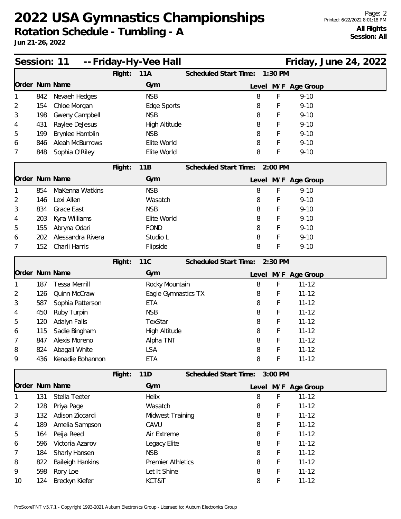**Rotation Schedule - Tumbling - A**

| Session: 11    |     |                         |         | -- Friday-Hy-Vee Hall    |                               |             |                     | Friday, June 24, 2022 |  |
|----------------|-----|-------------------------|---------|--------------------------|-------------------------------|-------------|---------------------|-----------------------|--|
|                |     |                         | Flight: | 11A                      | Scheduled Start Time:         | 1:30 PM     |                     |                       |  |
| Order Num Name |     |                         |         | Gym                      |                               |             | Level M/F Age Group |                       |  |
|                | 842 | Nevaeh Hedges           |         | <b>NSB</b>               | 8                             | F           | $9 - 10$            |                       |  |
| 2              | 154 | Chloe Morgan            |         | Edge Sports              | 8                             | F           | $9 - 10$            |                       |  |
| 3              | 198 | Gweny Campbell          |         | <b>NSB</b>               | 8                             | F           | $9 - 10$            |                       |  |
| 4              | 431 | Raylee DeJesus          |         | High Altitude            | 8                             | F           | $9 - 10$            |                       |  |
| 5              | 199 | Brynlee Hamblin         |         | <b>NSB</b>               | 8                             | F           | $9 - 10$            |                       |  |
| 6              | 846 | <b>Aleah McBurrows</b>  |         | Elite World              | 8                             | F           | $9 - 10$            |                       |  |
| 7              | 848 | Sophia O'Riley          |         | Elite World              | 8                             | F           | $9 - 10$            |                       |  |
|                |     |                         | Flight: | 11B                      | Scheduled Start Time: 2:00 PM |             |                     |                       |  |
| Order Num Name |     |                         |         | Gym                      |                               |             | Level M/F Age Group |                       |  |
|                | 854 | MaKenna Watkins         |         | <b>NSB</b>               | 8                             | $\mathsf F$ | $9 - 10$            |                       |  |
| 2              | 146 | Lexi Allen              |         | Wasatch                  | 8                             | F           | $9 - 10$            |                       |  |
| 3              | 834 | Grace East              |         | <b>NSB</b>               | 8                             | F           | $9 - 10$            |                       |  |
| 4              | 203 | Kyra Williams           |         | Elite World              | 8                             | F           | $9 - 10$            |                       |  |
| 5              | 155 | Abryna Odari            |         | <b>FOND</b>              | 8                             | F           | $9 - 10$            |                       |  |
| 6              | 202 | Alessandra Rivera       |         | Studio L                 | 8                             | F           | $9 - 10$            |                       |  |
| 7              | 152 | Charli Harris           |         | Flipside                 | 8                             | F           | $9 - 10$            |                       |  |
|                |     |                         | Flight: | <b>11C</b>               | Scheduled Start Time: 2:30 PM |             |                     |                       |  |
| Order Num Name |     |                         |         | Gym                      |                               |             | Level M/F Age Group |                       |  |
|                | 187 | <b>Tessa Merrill</b>    |         | Rocky Mountain           | 8                             | $\mathsf F$ | $11 - 12$           |                       |  |
| 2              | 126 | Quinn McCraw            |         | Eagle Gymnastics TX      | 8                             | F           | $11 - 12$           |                       |  |
| 3              | 587 | Sophia Patterson        |         | <b>ETA</b>               | 8                             | F           | $11 - 12$           |                       |  |
| 4              | 450 | Ruby Turpin             |         | <b>NSB</b>               | 8                             | F           | $11 - 12$           |                       |  |
| 5              | 120 | Adalyn Falls            |         | TexStar                  | 8                             | F           | $11 - 12$           |                       |  |
| 6              | 115 | Sadie Bingham           |         | High Altitude            | 8                             | F           | $11 - 12$           |                       |  |
| 7              | 847 | Alexis Moreno           |         | Alpha TNT                | 8                             | F           | $11 - 12$           |                       |  |
| 8              | 824 | Abagail White           |         | LSA                      | 8                             | F           | $11 - 12$           |                       |  |
| 9              | 436 | Kenadie Bohannon        |         | ETA                      | 8                             | F           | $11 - 12$           |                       |  |
|                |     |                         | Flight: | 11D                      | Scheduled Start Time: 3:00 PM |             |                     |                       |  |
| Order Num Name |     |                         |         | Gym                      |                               |             | Level M/F Age Group |                       |  |
|                | 131 | Stella Teeter           |         | Helix                    | 8                             | F           | $11 - 12$           |                       |  |
| 2              | 128 | Priya Page              |         | Wasatch                  | 8                             | F           | $11 - 12$           |                       |  |
| 3              | 132 | Adison Ziccardi         |         | Midwest Training         | 8                             | F           | $11 - 12$           |                       |  |
| 4              | 189 | Amelia Sampson          |         | CAVU                     | 8                             | F           | $11 - 12$           |                       |  |
| 5              | 164 | Peija Reed              |         | Air Extreme              | 8                             | F           | $11 - 12$           |                       |  |
| 6              | 596 | Victoria Azarov         |         | Legacy Elite             | 8                             | F           | $11 - 12$           |                       |  |
| 7              | 184 | Sharly Hansen           |         | <b>NSB</b>               | 8                             | F           | $11 - 12$           |                       |  |
| 8              | 822 | <b>Baileigh Hankins</b> |         | <b>Premier Athletics</b> | 8                             | F           | $11 - 12$           |                       |  |
| 9              | 598 | Rory Loe                |         | Let It Shine             | 8                             | F           | $11 - 12$           |                       |  |
| 10             | 124 | Breckyn Kiefer          |         | KCT&T                    | 8                             | F           | $11 - 12$           |                       |  |
|                |     |                         |         |                          |                               |             |                     |                       |  |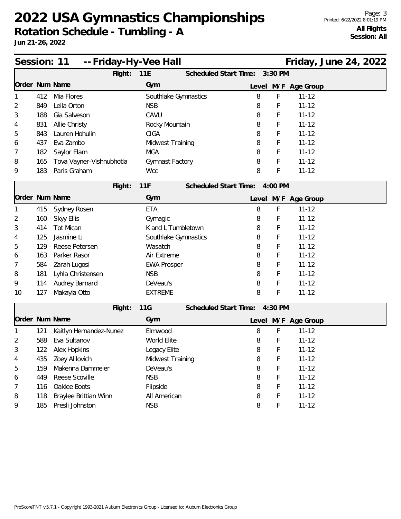|                |     | -- Friday-Hy-Vee Hall<br>Session: 11 |                                      |       |         |                     | Friday, June 24, 2022 |  |
|----------------|-----|--------------------------------------|--------------------------------------|-------|---------|---------------------|-----------------------|--|
|                |     | Flight:                              | Scheduled Start Time:<br>11E         |       | 3:30 PM |                     |                       |  |
| Order Num Name |     |                                      | Gym                                  |       |         | Level M/F Age Group |                       |  |
|                | 412 | Mia Flores                           | Southlake Gymnastics                 | 8     | F       | $11 - 12$           |                       |  |
| 2              | 849 | Leila Orton                          | <b>NSB</b>                           | 8     | F       | $11 - 12$           |                       |  |
| 3              | 188 | Gia Salveson                         | CAVU                                 | 8     | F       | $11 - 12$           |                       |  |
| 4              | 831 | Allie Christy                        | Rocky Mountain                       | 8     | F       | $11 - 12$           |                       |  |
| 5              | 843 | Lauren Hohulin                       | <b>CIGA</b>                          | 8     | F       | $11 - 12$           |                       |  |
| 6              | 437 | Eva Zambo                            | Midwest Training                     | 8     | F       | $11 - 12$           |                       |  |
| 7              | 182 | Saylor Elam                          | <b>MGA</b>                           | 8     | F       | $11 - 12$           |                       |  |
| 8              | 165 | Tova Vayner-Vishnubhotla             | Gymnast Factory                      | 8     | F       | $11 - 12$           |                       |  |
| 9              | 183 | Paris Graham                         | <b>Wcc</b>                           | 8     | F       | $11 - 12$           |                       |  |
|                |     | Flight:                              | 11F<br>Scheduled Start Time: 4:00 PM |       |         |                     |                       |  |
| Order Num Name |     |                                      | Gym                                  |       |         | Level M/F Age Group |                       |  |
|                | 415 | Sydney Rosen                         | <b>ETA</b>                           | 8     | F       | $11 - 12$           |                       |  |
| 2              | 160 | Skyy Ellis                           | Gymagic                              | 8     | F       | $11 - 12$           |                       |  |
| 3              | 414 | <b>Tot Mican</b>                     | K and L Tumbletown                   | 8     | F       | $11 - 12$           |                       |  |
| 4              | 125 | Jasmine Li                           | Southlake Gymnastics                 | 8     | F       | $11 - 12$           |                       |  |
| 5              | 129 | Reese Petersen                       | Wasatch                              | 8     | F       | $11 - 12$           |                       |  |
| 6              | 163 | Parker Rasor                         | Air Extreme                          | 8     | F       | $11 - 12$           |                       |  |
| 7              | 584 | Zarah Lugosi                         | <b>EWA Prosper</b>                   | 8     | F       | $11 - 12$           |                       |  |
| 8              | 181 | Lyhla Christensen                    | <b>NSB</b>                           | 8     | F       | $11 - 12$           |                       |  |
| 9              | 114 | Audrey Barnard                       | DeVeau's                             | 8     | F       | $11 - 12$           |                       |  |
| 10             | 127 | Makayla Otto                         | <b>EXTREME</b>                       | 8     | F       | $11 - 12$           |                       |  |
|                |     | Flight:                              | 11G<br>Scheduled Start Time: 4:30 PM |       |         |                     |                       |  |
| Order Num Name |     |                                      | Gym                                  | Level |         | M/F Age Group       |                       |  |
|                | 121 | Kaitlyn Hernandez-Nunez              | Elmwood                              | 8     | F       | $11 - 12$           |                       |  |
| 2              | 588 | Eva Sultanov                         | World Elite                          | 8     | F       | $11 - 12$           |                       |  |
| 3              | 122 | Alex Hopkins                         | Legacy Elite                         | 8     | F       | $11 - 12$           |                       |  |
| 4              | 435 | Zoey Alilovich                       | Midwest Training                     | 8     | F       | $11 - 12$           |                       |  |
| 5              | 159 | Makenna Dammeier                     | DeVeau's                             | 8     | F       | $11 - 12$           |                       |  |
| 6              | 449 | Reese Scoville                       | <b>NSB</b>                           | 8     | F       | $11 - 12$           |                       |  |
| 7              | 116 | Oaklee Boots                         | Flipside                             | 8     | F       | $11 - 12$           |                       |  |
| 8              | 118 | Braylee Brittian Winn                | All American                         | 8     | F       | $11 - 12$           |                       |  |
| 9              | 185 | Presli Johnston                      | <b>NSB</b>                           | 8     | F       | $11 - 12$           |                       |  |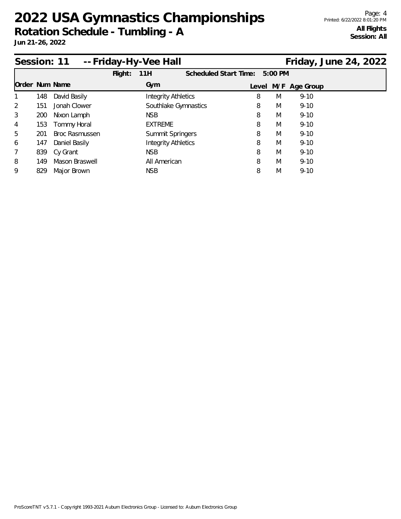| Session: 11    |     |                       | -- Friday-Hy-Vee Hall |                            |                               |   |   | Friday, June 24, 2022 |  |
|----------------|-----|-----------------------|-----------------------|----------------------------|-------------------------------|---|---|-----------------------|--|
|                |     |                       | Flight:               | 11H                        | Scheduled Start Time: 5:00 PM |   |   |                       |  |
| Order Num Name |     |                       |                       | Gym                        |                               |   |   | Level M/F Age Group   |  |
|                | 148 | David Basily          |                       | <b>Integrity Athletics</b> |                               | 8 | M | $9 - 10$              |  |
| 2              | 151 | Jonah Clower          |                       |                            | Southlake Gymnastics          | 8 | M | $9 - 10$              |  |
| 3              | 200 | Nixon Lamph           |                       | <b>NSB</b>                 |                               | 8 | M | $9 - 10$              |  |
| 4              | 153 | Tommy Horal           |                       | <b>EXTREME</b>             |                               | 8 | M | $9 - 10$              |  |
| 5              | 201 | <b>Broc Rasmussen</b> |                       |                            | Summit Springers              | 8 | M | $9 - 10$              |  |
| 6              | 147 | Daniel Basily         |                       | <b>Integrity Athletics</b> |                               | 8 | M | $9 - 10$              |  |
| 7              | 839 | Cy Grant              |                       | <b>NSB</b>                 |                               | 8 | M | $9 - 10$              |  |
| 8              | 149 | Mason Braswell        |                       | All American               |                               | 8 | M | $9 - 10$              |  |
| 9              | 829 | Major Brown           |                       | <b>NSB</b>                 |                               | 8 | M | $9 - 10$              |  |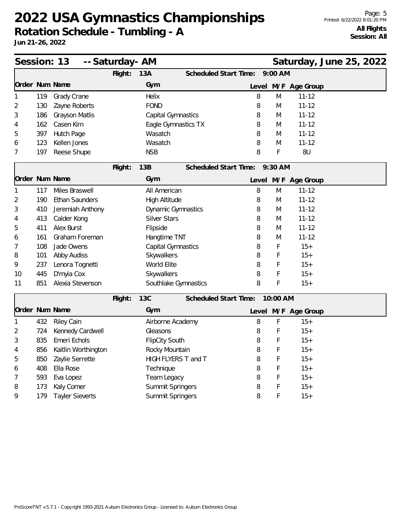**Rotation Schedule - Tumbling - A**

**Jun 21-26, 2022**

| Session: 13    |     |                       | -- Saturday- AM |                           |                               |   |           |                     | Saturday, June 25, 2022 |  |
|----------------|-----|-----------------------|-----------------|---------------------------|-------------------------------|---|-----------|---------------------|-------------------------|--|
|                |     |                       | Flight:         | 13A                       | Scheduled Start Time:         |   | $9:00$ AM |                     |                         |  |
| Order Num Name |     |                       |                 | Gym                       |                               |   |           | Level M/F Age Group |                         |  |
| 1              | 119 | Grady Crane           |                 | Helix                     |                               | 8 | M         | $11 - 12$           |                         |  |
| 2              | 130 | Zayne Roberts         |                 | <b>FOND</b>               |                               | 8 | M         | $11 - 12$           |                         |  |
| 3              | 186 | Grayson Matlis        |                 | Capital Gymnastics        |                               | 8 | M         | $11 - 12$           |                         |  |
| 4              | 162 | Casen Kim             |                 | Eagle Gymnastics TX       |                               | 8 | M         | $11 - 12$           |                         |  |
| 5              | 397 | Hutch Page            |                 | Wasatch                   |                               | 8 | M         | $11 - 12$           |                         |  |
| 6              | 123 | Kellen Jones          |                 | Wasatch                   |                               | 8 | M         | $11 - 12$           |                         |  |
| 7              | 197 | Reese Shupe           |                 | <b>NSB</b>                |                               | 8 | F         | 8U                  |                         |  |
|                |     |                       | Flight:         | 13B                       | Scheduled Start Time: 9:30 AM |   |           |                     |                         |  |
| Order Num Name |     |                       |                 | Gym                       |                               |   |           | Level M/F Age Group |                         |  |
| $\mathbf{1}$   | 117 | Miles Braswell        |                 | All American              |                               | 8 | M         | $11 - 12$           |                         |  |
| 2              | 190 | <b>Ethan Saunders</b> |                 | <b>High Altitude</b>      |                               | 8 | M         | $11 - 12$           |                         |  |
| 3              | 410 | Jeremiah Anthony      |                 | <b>Dynamic Gymnastics</b> |                               | 8 | M         | $11 - 12$           |                         |  |
| 4              | 413 | Calder Kong           |                 | <b>Silver Stars</b>       |                               | 8 | M         | $11 - 12$           |                         |  |
| 5              | 411 | Alex Burst            |                 | Flipside                  |                               | 8 | M         | $11 - 12$           |                         |  |
| 6              | 161 | Graham Foreman        |                 | Hangtime TNT              |                               | 8 | M         | $11 - 12$           |                         |  |
| 7              | 108 | Jade Owens            |                 | Capital Gymnastics        |                               | 8 | F         | $15+$               |                         |  |
| 8              | 101 | Abby Audiss           |                 | Skywalkers                |                               | 8 | F         | $15+$               |                         |  |
| 9              | 237 | Lenora Tognetti       |                 | World Elite               |                               | 8 | F         | $15+$               |                         |  |
| 10             | 445 | D'myia Cox            |                 | Skywalkers                |                               | 8 | F         | $15+$               |                         |  |
| 11             | 851 | Alexia Stevenson      |                 | Southlake Gymnastics      |                               | 8 | F         | $15+$               |                         |  |
|                |     |                       | Flight:         | <b>13C</b>                | <b>Scheduled Start Time:</b>  |   | 10:00 AM  |                     |                         |  |
| Order Num Name |     |                       |                 | Gym                       |                               |   |           | Level M/F Age Group |                         |  |
| 1              | 432 | <b>Riley Cain</b>     |                 | Airborne Academy          |                               | 8 | F         | $15+$               |                         |  |
| 2              | 724 | Kennedy Cardwell      |                 | Gleasons                  |                               | 8 | F         | $15+$               |                         |  |
| 3              | 835 | Emeri Echols          |                 | <b>FlipCity South</b>     |                               | 8 | F         | $15+$               |                         |  |
| 4              | 856 | Kaitlin Worthington   |                 | Rocky Mountain            |                               | 8 | F         | $15+$               |                         |  |
| 5              | 850 | Zaylie Serrette       |                 | HIGH FLYERS T and T       |                               | 8 | F         | $15+$               |                         |  |
| 6              | 408 | Ella Rose             |                 | Technique                 |                               | 8 | F         | $15+$               |                         |  |
| 7              | 593 | Eva Lopez             |                 | Team Legacy               |                               | 8 | F         | $15+$               |                         |  |

8 173 Kaly Comer Summit Springers 8 F 15+ 9 179 Tayler Sieverts Summit Springers 8 F 15+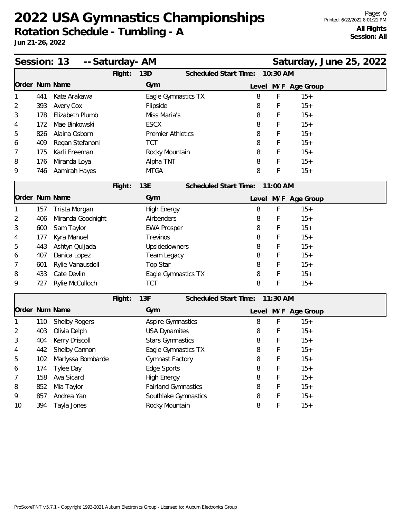**Rotation Schedule - Tumbling - A**

| Session: 13    |     |                      | -- Saturday- AM |                            |                                          | Saturday, June 25, 2022 |
|----------------|-----|----------------------|-----------------|----------------------------|------------------------------------------|-------------------------|
|                |     |                      | Flight:         | 13D                        | 10:30 AM<br><b>Scheduled Start Time:</b> |                         |
| Order Num Name |     |                      |                 | Gym                        | Level M/F Age Group                      |                         |
|                | 441 | Kate Arakawa         |                 | Eagle Gymnastics TX        | 8<br>F                                   | $15+$                   |
| 2              | 393 | Avery Cox            |                 | Flipside                   | 8<br>F                                   | $15+$                   |
| 3              | 178 | Elizabeth Plumb      |                 | Miss Maria's               | 8<br>F                                   | $15+$                   |
| 4              | 172 | Mae Binkowski        |                 | <b>ESCX</b>                | F<br>8                                   | $15+$                   |
| 5              | 826 | Alaina Osborn        |                 | <b>Premier Athletics</b>   | 8<br>F                                   | $15+$                   |
| 6              | 409 | Regan Stefanoni      |                 | <b>TCT</b>                 | F<br>8                                   | $15+$                   |
| 7              | 175 | Karli Freeman        |                 | Rocky Mountain             | F<br>8                                   | $15+$                   |
| 8              | 176 | Miranda Loya         |                 | Alpha TNT                  | F<br>8                                   | $15+$                   |
| 9              | 746 | Aamirah Hayes        |                 | <b>MTGA</b>                | 8<br>F                                   | $15+$                   |
|                |     |                      | Flight:         | 13E                        | Scheduled Start Time:<br>11:00 AM        |                         |
| Order Num Name |     |                      |                 | Gym                        | Level M/F Age Group                      |                         |
|                | 157 | Trista Morgan        |                 | High Energy                | 8<br>F                                   | $15+$                   |
| 2              | 406 | Miranda Goodnight    |                 | Airbenders                 | F<br>8                                   | $15+$                   |
| 3              | 600 | Sam Taylor           |                 | <b>EWA Prosper</b>         | 8<br>F                                   | $15+$                   |
| 4              | 177 | Kyra Manuel          |                 | Trevinos                   | 8<br>F                                   | $15+$                   |
| 5              | 443 | Ashtyn Quijada       |                 | Upsidedowners              | F<br>8                                   | $15+$                   |
| 6              | 407 | Danica Lopez         |                 | Team Legacy                | 8<br>F                                   | $15+$                   |
|                | 601 | Rylie Vanausdoll     |                 | Top Star                   | 8<br>F                                   | $15+$                   |
| 8              | 433 | Cate Devlin          |                 | Eagle Gymnastics TX        | F<br>8                                   | $15+$                   |
| 9              | 727 | Rylie McCulloch      |                 | <b>TCT</b>                 | F<br>8                                   | $15+$                   |
|                |     |                      | Flight:         | 13F                        | Scheduled Start Time:<br>11:30 AM        |                         |
| Order Num Name |     |                      |                 | Gym                        | Level M/F Age Group                      |                         |
|                | 110 | <b>Shelby Rogers</b> |                 | Aspire Gymnastics          | F<br>8                                   | $15+$                   |
| 2              | 403 | Olivia Delph         |                 | <b>USA Dynamites</b>       | F<br>8                                   | $15+$                   |
| 3              | 404 | Kerry Driscoll       |                 | <b>Stars Gymnastics</b>    | F<br>8                                   | $15+$                   |
| 4              | 442 | Shelby Cannon        |                 | Eagle Gymnastics TX        | 8<br>F                                   | $15+$                   |
| 5              | 102 | Marlyssa Bombarde    |                 | Gymnast Factory            | F<br>8                                   | $15+$                   |
| 6              | 174 | Tylee Day            |                 | Edge Sports                | F<br>8                                   | $15+$                   |
| 7              | 158 | Ava Sicard           |                 | <b>High Energy</b>         | 8<br>F                                   | $15+$                   |
| 8              | 852 | Mia Taylor           |                 | <b>Fairland Gymnastics</b> | 8<br>F                                   | $15+$                   |
| 9              | 857 | Andrea Yan           |                 | Southlake Gymnastics       | F<br>8                                   | $15+$                   |
| 10             | 394 | Tayla Jones          |                 | Rocky Mountain             | F<br>8                                   | $15+$                   |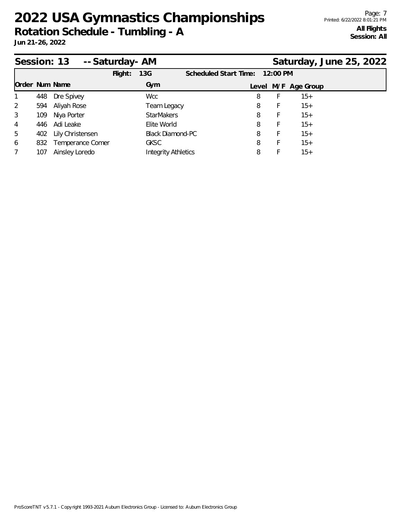|                |     | Session: 13 -- Saturday - AM |         |                            |                                |         |                     | Saturday, June 25, 2022 |
|----------------|-----|------------------------------|---------|----------------------------|--------------------------------|---------|---------------------|-------------------------|
|                |     |                              | Flight: | 13G                        | Scheduled Start Time: 12:00 PM |         |                     |                         |
| Order Num Name |     |                              |         | Gym                        |                                |         | Level M/F Age Group |                         |
|                | 448 | Dre Spivey                   |         | <b>Wcc</b>                 | 8                              | Ł       | $15+$               |                         |
| 2              | 594 | Aliyah Rose                  |         | Team Legacy                |                                | 8<br>F. | $15+$               |                         |
| 3              | 109 | Niya Porter                  |         | <b>StarMakers</b>          | 8                              | F       | $15+$               |                         |
| 4              | 446 | Adi Leake                    |         | Elite World                | 8                              | F       | $15+$               |                         |
| 5              | 402 | Lily Christensen             |         | <b>Black Diamond-PC</b>    | 8                              | F       | $15+$               |                         |
| 6              | 832 | Temperance Comer             |         | <b>GKSC</b>                | 8                              | Ł       | $15+$               |                         |
| $\overline{7}$ | 107 | Ainsley Loredo               |         | <b>Integrity Athletics</b> | 8                              |         | $15+$               |                         |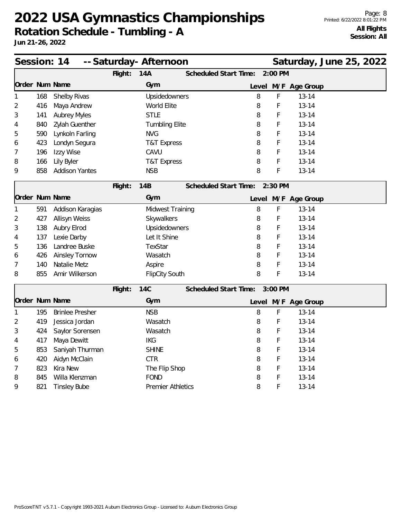| Session: 14    |     |                        |         | -- Saturday- Afternoon   |                              |   |           |                     | Saturday, June 25, 2022 |
|----------------|-----|------------------------|---------|--------------------------|------------------------------|---|-----------|---------------------|-------------------------|
|                |     |                        | Flight: | <b>14A</b>               | <b>Scheduled Start Time:</b> |   | 2:00 PM   |                     |                         |
| Order Num Name |     |                        |         | Gym                      |                              |   |           | Level M/F Age Group |                         |
| 1              | 168 | Shelby Rivas           |         | Upsidedowners            |                              | 8 | F         | $13 - 14$           |                         |
| 2              | 416 | Maya Andrew            |         | World Elite              |                              | 8 | F         | $13 - 14$           |                         |
| 3              | 141 | <b>Aubrey Myles</b>    |         | <b>STLE</b>              |                              | 8 | F         | $13 - 14$           |                         |
| 4              | 840 | Zylah Guenther         |         | <b>Tumbling Elite</b>    |                              | 8 | F         | $13 - 14$           |                         |
| 5              | 590 | Lynkoln Farling        |         | <b>NVG</b>               |                              | 8 | F         | $13 - 14$           |                         |
| 6              | 423 | Londyn Segura          |         | <b>T&amp;T Express</b>   |                              | 8 | F         | $13 - 14$           |                         |
| 7              | 196 | Izzy Wise              |         | CAVU                     |                              | 8 | F         | $13 - 14$           |                         |
| 8              | 166 | Lily Byler             |         | <b>T&amp;T Express</b>   |                              | 8 | F         | $13 - 14$           |                         |
| 9              | 858 | <b>Addison Yantes</b>  |         | <b>NSB</b>               |                              | 8 | F         | $13 - 14$           |                         |
|                |     |                        | Flight: | <b>14B</b>               | Scheduled Start Time:        |   | $2:30$ PM |                     |                         |
|                |     | Order Num Name         |         | Gym                      |                              |   |           | Level M/F Age Group |                         |
| 1              | 591 | Addison Karagias       |         | Midwest Training         |                              | 8 | F         | $13 - 14$           |                         |
| 2              | 427 | Allisyn Weiss          |         | Skywalkers               |                              | 8 | F         | $13 - 14$           |                         |
| 3              | 138 | Aubry Elrod            |         | Upsidedowners            |                              | 8 | F         | $13 - 14$           |                         |
| 4              | 137 | Lexie Darby            |         | Let It Shine             |                              | 8 | F         | $13 - 14$           |                         |
| 5              | 136 | Landree Buske          |         | TexStar                  |                              | 8 | F         | $13 - 14$           |                         |
| 6              | 426 | <b>Ainsley Tornow</b>  |         | Wasatch                  |                              | 8 | F         | $13 - 14$           |                         |
| 7              | 140 | Natalie Metz           |         | Aspire                   |                              | 8 | F         | $13 - 14$           |                         |
| 8              | 855 | Amir Wilkerson         |         | <b>FlipCity South</b>    |                              | 8 | F         | $13 - 14$           |                         |
|                |     |                        | Flight: | <b>14C</b>               | Scheduled Start Time:        |   | 3:00 PM   |                     |                         |
| Order Num Name |     |                        |         | Gym                      |                              |   |           | Level M/F Age Group |                         |
| 1              | 195 | <b>Brinlee Presher</b> |         | <b>NSB</b>               |                              | 8 | F         | $13 - 14$           |                         |
| 2              | 419 | Jessica Jordan         |         | Wasatch                  |                              | 8 | F         | $13 - 14$           |                         |
| 3              | 424 | Saylor Sorensen        |         | Wasatch                  |                              | 8 | F         | $13 - 14$           |                         |
| 4              | 417 | Maya Dewitt            |         | <b>IKG</b>               |                              | 8 | F         | $13 - 14$           |                         |
| 5              | 853 | Saniyah Thurman        |         | <b>SHINE</b>             |                              | 8 | F         | $13 - 14$           |                         |
| 6              | 420 | Aidyn McClain          |         | <b>CTR</b>               |                              | 8 | F         | $13 - 14$           |                         |
| 7              | 823 | Kira New               |         | The Flip Shop            |                              | 8 | F         | $13 - 14$           |                         |
| 8              | 845 | Willa Klenzman         |         | <b>FOND</b>              |                              | 8 | F         | $13 - 14$           |                         |
| 9              | 821 | <b>Tinsley Bube</b>    |         | <b>Premier Athletics</b> |                              | 8 | F         | $13 - 14$           |                         |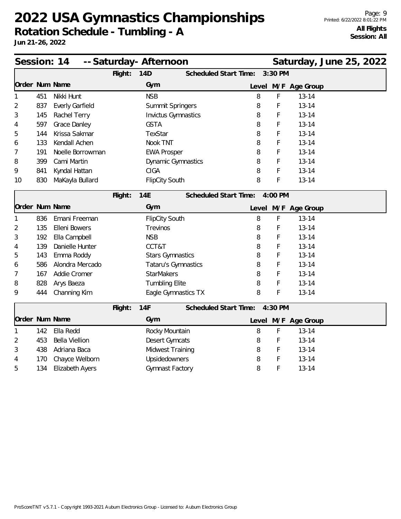| Session: 14    |     |                        |         | -- Saturday- Afternoon     |                              |       |         |                     | Saturday, June 25, 2022 |
|----------------|-----|------------------------|---------|----------------------------|------------------------------|-------|---------|---------------------|-------------------------|
|                |     |                        | Flight: | 14D                        | Scheduled Start Time:        |       | 3:30 PM |                     |                         |
| Order Num Name |     |                        |         | Gym                        |                              |       |         | Level M/F Age Group |                         |
| 1              | 451 | Nikki Hunt             |         | <b>NSB</b>                 |                              | 8     | F       | $13 - 14$           |                         |
| 2              | 837 | <b>Everly Garfield</b> |         | Summit Springers           |                              | 8     | F       | $13 - 14$           |                         |
| 3              | 145 | Rachel Terry           |         | <b>Invictus Gymnastics</b> |                              | 8     | F       | $13 - 14$           |                         |
| 4              | 597 | Grace Danley           |         | <b>GSTA</b>                |                              | 8     | F       | $13 - 14$           |                         |
| 5              | 144 | Krissa Sakmar          |         | TexStar                    |                              | 8     | F       | $13 - 14$           |                         |
| 6              | 133 | Kendall Achen          |         | Nook TNT                   |                              | 8     | F       | $13 - 14$           |                         |
| 7              | 191 | Noelle Borrowman       |         | <b>EWA Prosper</b>         |                              | 8     | F       | $13 - 14$           |                         |
| 8              | 399 | Cami Martin            |         | Dynamic Gymnastics         |                              | 8     | F       | $13 - 14$           |                         |
| 9              | 841 | Kyndal Hattan          |         | <b>CIGA</b>                |                              | 8     | F       | $13 - 14$           |                         |
| 10             | 830 | MaKayla Bullard        |         | <b>FlipCity South</b>      |                              | 8     | F       | $13 - 14$           |                         |
|                |     |                        | Flight: | 14E                        | Scheduled Start Time:        |       | 4:00 PM |                     |                         |
| Order Num Name |     |                        |         | Gym                        |                              | Level |         | M/F Age Group       |                         |
| 1              | 836 | Emani Freeman          |         | <b>FlipCity South</b>      |                              | 8     | F       | $13 - 14$           |                         |
| 2              | 135 | Elleni Bowers          |         | Trevinos                   |                              | 8     | F       | $13 - 14$           |                         |
| 3              | 192 | Ella Campbell          |         | <b>NSB</b>                 |                              | 8     | F       | $13 - 14$           |                         |
| 4              | 139 | Danielle Hunter        |         | CCT&T                      |                              | 8     | F       | $13 - 14$           |                         |
| 5              | 143 | Emma Roddy             |         | <b>Stars Gymnastics</b>    |                              | 8     | F       | $13 - 14$           |                         |
| 6              | 586 | Alondra Mercado        |         | Tataru's Gymnastics        |                              | 8     | F       | $13 - 14$           |                         |
| 7              | 167 | Addie Cromer           |         | <b>StarMakers</b>          |                              | 8     | F       | $13 - 14$           |                         |
| 8              | 828 | Arys Baeza             |         | <b>Tumbling Elite</b>      |                              | 8     | F       | $13 - 14$           |                         |
| 9              | 444 | Channing Kim           |         | Eagle Gymnastics TX        |                              | 8     | F       | $13 - 14$           |                         |
|                |     |                        | Flight: | 14F                        | <b>Scheduled Start Time:</b> |       | 4:30 PM |                     |                         |
| Order Num Name |     |                        |         | Gym                        |                              |       |         | Level M/F Age Group |                         |
| 1              | 142 | Ella Redd              |         | Rocky Mountain             |                              | 8     | F       | $13 - 14$           |                         |
| 2              | 453 | <b>Bella Viellion</b>  |         | Desert Gymcats             |                              | 8     | F       | $13 - 14$           |                         |
| 3              | 438 | Adriana Baca           |         | Midwest Training           |                              | 8     | F       | $13 - 14$           |                         |
| 4              | 170 | Chayce Welborn         |         | Upsidedowners              |                              | 8     | F       | $13 - 14$           |                         |
| 5              | 134 | <b>Elizabeth Ayers</b> |         | Gymnast Factory            |                              | 8     | F       | $13 - 14$           |                         |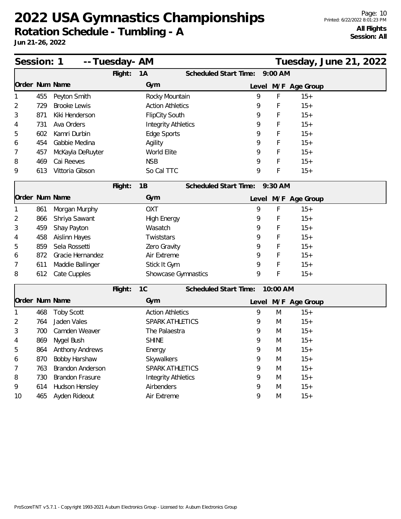**Rotation Schedule - Tumbling - A**

| Session: 1     |     |                         | -- Tuesday- AM |                            |                               |   |          |                     | Tuesday, June 21, 2022 |  |
|----------------|-----|-------------------------|----------------|----------------------------|-------------------------------|---|----------|---------------------|------------------------|--|
|                |     |                         | Flight:        | 1A                         | Scheduled Start Time: 9:00 AM |   |          |                     |                        |  |
| Order Num Name |     |                         |                | Gym                        |                               |   |          | Level M/F Age Group |                        |  |
|                | 455 | Peyton Smith            |                | Rocky Mountain             |                               | 9 | F        | $15+$               |                        |  |
| 2              | 729 | <b>Brooke Lewis</b>     |                | <b>Action Athletics</b>    |                               | 9 | F        | $15+$               |                        |  |
| 3              | 871 | Kiki Henderson          |                | <b>FlipCity South</b>      |                               | 9 | F        | $15+$               |                        |  |
| 4              | 731 | Ava Orders              |                | <b>Integrity Athletics</b> |                               | 9 | F        | $15+$               |                        |  |
| 5              | 602 | Kamri Durbin            |                | Edge Sports                |                               | 9 | F        | $15+$               |                        |  |
| 6              | 454 | Gabbie Medina           |                | Agility                    |                               | 9 | F        | $15+$               |                        |  |
|                | 457 | McKayla DeRuyter        |                | World Elite                |                               | 9 | F        | $15+$               |                        |  |
| 8              | 469 | Cai Reeves              |                | <b>NSB</b>                 |                               | 9 | F        | $15+$               |                        |  |
| 9              | 613 | Vittoria Gibson         |                | So Cal TTC                 |                               | 9 | F        | $15+$               |                        |  |
|                |     |                         | Flight:        | 1B                         | Scheduled Start Time: 9:30 AM |   |          |                     |                        |  |
| Order Num Name |     |                         |                | Gym                        |                               |   |          | Level M/F Age Group |                        |  |
|                | 861 | Morgan Murphy           |                | <b>OXT</b>                 |                               | 9 | F        | $15+$               |                        |  |
| 2              | 866 | Shriya Sawant           |                | <b>High Energy</b>         |                               | 9 | F        | $15+$               |                        |  |
| 3              | 459 | Shay Payton             |                | Wasatch                    |                               | 9 | F        | $15+$               |                        |  |
| 4              | 458 | Aislinn Hayes           |                | Twiststars                 |                               | 9 | F        | $15+$               |                        |  |
| 5              | 859 | Sela Rossetti           |                | Zero Gravity               |                               | 9 | F        | $15+$               |                        |  |
| 6              | 872 | Gracie Hernandez        |                | Air Extreme                |                               | 9 | F        | $15+$               |                        |  |
| 7              | 611 | Maddie Ballinger        |                | Stick It Gym               |                               | 9 | F        | $15+$               |                        |  |
| 8              | 612 | Cate Cupples            |                | Showcase Gymnastics        |                               | 9 | F        | $15+$               |                        |  |
|                |     |                         | Flight:        | 1C                         | Scheduled Start Time:         |   | 10:00 AM |                     |                        |  |
| Order Num Name |     |                         |                | Gym                        |                               |   |          | Level M/F Age Group |                        |  |
|                | 468 | <b>Toby Scott</b>       |                | <b>Action Athletics</b>    |                               | 9 | M        | $15+$               |                        |  |
| 2              | 764 | Jaden Vales             |                | <b>SPARK ATHLETICS</b>     |                               | 9 | M        | $15+$               |                        |  |
| 3              | 700 | Camden Weaver           |                | The Palaestra              |                               | 9 | M        | $15+$               |                        |  |
| 4              | 869 | Nygel Bush              |                | <b>SHINE</b>               |                               | 9 | M        | $15+$               |                        |  |
| 5              | 864 | <b>Anthony Andrews</b>  |                | Energy                     |                               | 9 | M        | $15+$               |                        |  |
| 6              | 870 | Bobby Harshaw           |                | Skywalkers                 |                               | 9 | M        | $15+$               |                        |  |
| 7              | 763 | <b>Brandon Anderson</b> |                | SPARK ATHLETICS            |                               | 9 | M        | $15+$               |                        |  |
| 8              | 730 | <b>Brandon Frasure</b>  |                | <b>Integrity Athletics</b> |                               | 9 | M        | $15+$               |                        |  |
| 9              | 614 | Hudson Hensley          |                | Airbenders                 |                               | 9 | M        | $15+$               |                        |  |
| 10             | 465 | Ayden Rideout           |                | Air Extreme                |                               | 9 | M        | $15+$               |                        |  |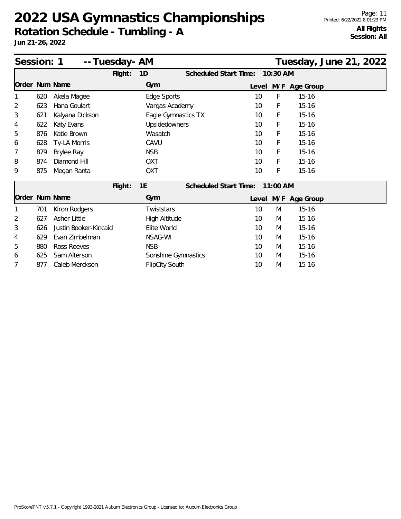**Rotation Schedule - Tumbling - A**

| Session: 1     |     |                       | -- Tuesday- AM |                       |                       |    |          | Tuesday, June 21, 2022 |  |  |
|----------------|-----|-----------------------|----------------|-----------------------|-----------------------|----|----------|------------------------|--|--|
|                |     |                       | Flight:        | 1D                    | Scheduled Start Time: |    | 10:30 AM |                        |  |  |
| Order Num Name |     |                       |                | Gym                   |                       |    |          | Level M/F Age Group    |  |  |
| 1              | 620 | Akela Magee           |                | Edge Sports           |                       | 10 | F        | $15 - 16$              |  |  |
| 2              | 623 | Hana Goulart          |                | Vargas Academy        |                       | 10 | F        | $15 - 16$              |  |  |
| 3              | 621 | Kalyana Dickson       |                |                       | Eagle Gymnastics TX   | 10 | F        | $15 - 16$              |  |  |
| 4              | 622 | Katy Evans            |                | <b>Upsidedowners</b>  |                       | 10 | F        | $15 - 16$              |  |  |
| 5              | 876 | Katie Brown           |                | Wasatch               |                       | 10 | F        | $15 - 16$              |  |  |
| 6              | 628 | Ty-LA Morris          |                | CAVU                  |                       | 10 | F        | $15 - 16$              |  |  |
| 7              | 879 | Brylee Ray            |                | <b>NSB</b>            |                       | 10 | F        | $15 - 16$              |  |  |
| 8              | 874 | Diamond Hill          |                | <b>OXT</b>            |                       | 10 | F        | $15 - 16$              |  |  |
| 9              | 875 | Megan Ranta           |                | <b>OXT</b>            |                       | 10 | F        | $15 - 16$              |  |  |
|                |     |                       | Flight:        | 1E                    | Scheduled Start Time: |    | 11:00 AM |                        |  |  |
| Order Num Name |     |                       |                | Gym                   |                       |    |          | Level M/F Age Group    |  |  |
| 1              | 701 | Kiron Rodgers         |                | Twiststars            |                       | 10 | M        | $15 - 16$              |  |  |
| 2              | 627 | Asher Little          |                | High Altitude         |                       | 10 | M        | $15 - 16$              |  |  |
| 3              | 626 | Justin Booker-Kincaid |                | Elite World           |                       | 10 | M        | $15 - 16$              |  |  |
| 4              | 629 | Evan Zimbelman        |                | NSAG-WI               |                       | 10 | M        | $15 - 16$              |  |  |
| 5              | 880 | <b>Ross Reeves</b>    |                | <b>NSB</b>            |                       | 10 | M        | $15 - 16$              |  |  |
| 6              | 625 | Sam Alterson          |                |                       | Sonshine Gymnastics   | 10 | M        | $15 - 16$              |  |  |
| 7              | 877 | Caleb Merckson        |                | <b>FlipCity South</b> |                       | 10 | M        | $15 - 16$              |  |  |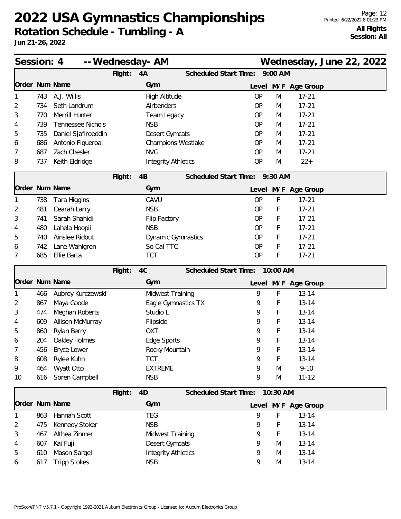**Rotation Schedule - Tumbling - A**

| Session: 4     |     |                          |         | -- Wednesday- AM           |                               |           |          | Wednesday, June 22, 2022 |  |  |
|----------------|-----|--------------------------|---------|----------------------------|-------------------------------|-----------|----------|--------------------------|--|--|
|                |     |                          | Flight: | 4A                         | <b>Scheduled Start Time:</b>  |           | 9:00 AM  |                          |  |  |
| Order Num Name |     |                          |         | Gym                        |                               |           |          | Level M/F Age Group      |  |  |
|                | 743 | A.J. Willis              |         | High Altitude              |                               | OP        | M        | $17 - 21$                |  |  |
| 2              | 734 | Seth Landrum             |         | Airbenders                 |                               | <b>OP</b> | M        | $17 - 21$                |  |  |
| 3              | 770 | Merrill Hunter           |         | Team Legacy                |                               | OP        | M        | $17 - 21$                |  |  |
| 4              | 739 | <b>Tennessee Nichols</b> |         | <b>NSB</b>                 |                               | <b>OP</b> | M        | $17 - 21$                |  |  |
| 5              | 735 | Daniel Sjafiroeddin      |         | <b>Desert Gymcats</b>      |                               | OP        | M        | $17 - 21$                |  |  |
| 6              | 686 | Antonio Figueroa         |         | Champions Westlake         |                               | OP        | M        | $17 - 21$                |  |  |
| 7              | 687 | Zach Chesler             |         | <b>NVG</b>                 |                               | <b>OP</b> | M        | $17 - 21$                |  |  |
| 8              | 737 | Keith Eldridge           |         | <b>Integrity Athletics</b> |                               | OP        | M        | $22+$                    |  |  |
|                |     |                          | Flight: | 4B                         | Scheduled Start Time: 9:30 AM |           |          |                          |  |  |
| Order Num Name |     |                          |         | Gym                        |                               |           |          | Level M/F Age Group      |  |  |
|                | 738 | Tara Higgins             |         | CAVU                       |                               | <b>OP</b> | F        | $17 - 21$                |  |  |
| 2              | 481 | Cearah Larry             |         | <b>NSB</b>                 |                               | <b>OP</b> | F        | $17 - 21$                |  |  |
| 3              | 741 | Sarah Shahidi            |         | Flip Factory               |                               | <b>OP</b> | F        | $17 - 21$                |  |  |
| 4              | 480 | Lahela Hoopii            |         | <b>NSB</b>                 |                               | <b>OP</b> | F        | $17 - 21$                |  |  |
| 5              | 740 | Ainslee Ridout           |         | <b>Dynamic Gymnastics</b>  |                               | <b>OP</b> | F        | $17 - 21$                |  |  |
| 6              | 742 | Lane Wahlgren            |         | So Cal TTC                 |                               | <b>OP</b> | F        | $17 - 21$                |  |  |
| 7              | 685 | Ellie Barta              |         | <b>TCT</b>                 |                               | <b>OP</b> | F        | $17 - 21$                |  |  |
|                |     |                          | Flight: | 4C                         | Scheduled Start Time:         |           | 10:00 AM |                          |  |  |
| Order Num Name |     |                          |         | Gym                        |                               |           |          | Level M/F Age Group      |  |  |
|                | 466 | Aubrey Kurczewski        |         | Midwest Training           |                               | 9         | F        | $13 - 14$                |  |  |
| 2              | 867 | Maya Goode               |         | Eagle Gymnastics TX        |                               | 9         | F        | $13 - 14$                |  |  |
| 3              | 474 | Meghan Roberts           |         | Studio L                   |                               | 9         | F        | $13 - 14$                |  |  |
| 4              | 609 | Allison McMurray         |         | Flipside                   |                               | 9         | F        | $13 - 14$                |  |  |
| 5              | 860 | Rylan Berry              |         | <b>OXT</b>                 |                               | 9         | F        | $13 - 14$                |  |  |
| 6              | 204 | Oakley Holmes            |         | Edge Sports                |                               | 9         | F        | $13 - 14$                |  |  |
| $\prime$       | 456 | Bryce Lower              |         | Rocky Mountain             |                               | 9         | F        | $13 - 14$                |  |  |
| 8              | 608 | Rylee Kuhn               |         | <b>TCT</b>                 |                               | 9         | F        | $13 - 14$                |  |  |
| 9              | 464 | Wyatt Otto               |         | <b>EXTREME</b>             |                               | 9         | M        | $9 - 10$                 |  |  |
| 10             | 616 | Soren Campbell           |         | <b>NSB</b>                 |                               | 9         | M        | $11 - 12$                |  |  |
|                |     |                          | Flight: | 4D                         | Scheduled Start Time:         |           | 10:30 AM |                          |  |  |
| Order Num Name |     |                          |         | Gym                        |                               |           |          | Level M/F Age Group      |  |  |
|                | 863 | Hannah Scott             |         | <b>TEG</b>                 |                               | 9         | F        | $13 - 14$                |  |  |
| 2              | 475 | Kennedy Stoker           |         | <b>NSB</b>                 |                               | 9         | F        | $13 - 14$                |  |  |
| 3              | 467 | Althea Zinmer            |         | Midwest Training           |                               | 9         | F        | $13 - 14$                |  |  |
| 4              | 607 | Kai Fujii                |         | Desert Gymcats             |                               | 9         | M        | $13 - 14$                |  |  |
| 5              | 610 | Mason Sargel             |         | <b>Integrity Athletics</b> |                               | 9         | M        | $13 - 14$                |  |  |
| 6              | 617 | <b>Tripp Stokes</b>      |         | <b>NSB</b>                 |                               | 9         | M        | $13 - 14$                |  |  |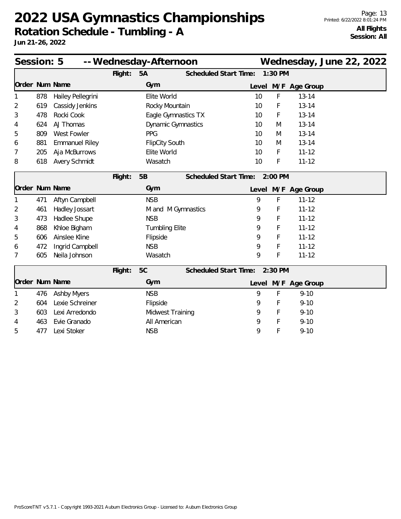| Session: 5<br>-- Wednesday-Afternoon |     |                       |                       |                       |                       |                               |       |           |                     | Wednesday, June 22, 2022 |  |
|--------------------------------------|-----|-----------------------|-----------------------|-----------------------|-----------------------|-------------------------------|-------|-----------|---------------------|--------------------------|--|
|                                      |     |                       | Flight:               | 5A                    | Scheduled Start Time: |                               |       | 1:30 PM   |                     |                          |  |
| Order Num Name                       |     |                       |                       | Gym                   |                       |                               | Level |           | M/F Age Group       |                          |  |
|                                      | 878 | Hailey Pellegrini     |                       | Elite World           |                       |                               | 10    | F         | $13 - 14$           |                          |  |
| 2                                    | 619 | Cassidy Jenkins       |                       | Rocky Mountain        |                       |                               | 10    | F         | $13 - 14$           |                          |  |
| 3                                    | 478 | Rocki Cook            |                       | Eagle Gymnastics TX   |                       |                               | 10    | F         | $13 - 14$           |                          |  |
| 4                                    | 624 | AJ Thomas             |                       | Dynamic Gymnastics    |                       |                               | 10    | M         | $13 - 14$           |                          |  |
| 5                                    | 809 | West Fowler           | PPG                   |                       |                       |                               | 10    | M         | $13 - 14$           |                          |  |
| 6                                    | 881 | <b>Emmanuel Riley</b> | <b>FlipCity South</b> |                       |                       |                               | 10    | M         | $13 - 14$           |                          |  |
| 7                                    | 205 | Aja McBurrows         |                       | Elite World           |                       |                               | 10    | F         | $11 - 12$           |                          |  |
| 8                                    | 618 | <b>Avery Schmidt</b>  |                       | Wasatch               |                       |                               | 10    | F         | $11 - 12$           |                          |  |
|                                      |     |                       | Flight:               | 5B                    |                       | Scheduled Start Time:         |       | $2:00$ PM |                     |                          |  |
| Order Num Name                       |     |                       |                       | Gym                   |                       |                               |       |           | Level M/F Age Group |                          |  |
| 1                                    | 471 | Aftyn Campbell        |                       | <b>NSB</b>            |                       |                               | 9     | F         | $11 - 12$           |                          |  |
| 2                                    | 461 | Hadley Jossart        |                       | M and M Gymnastics    |                       |                               | 9     | F         | $11 - 12$           |                          |  |
| 3                                    | 473 | Hadlee Shupe          |                       | <b>NSB</b>            |                       |                               | 9     | F         | $11 - 12$           |                          |  |
| 4                                    | 868 | Khloe Bigham          |                       | <b>Tumbling Elite</b> |                       |                               | 9     | F         | $11 - 12$           |                          |  |
| 5                                    | 606 | Ainslee Kline         |                       | Flipside              |                       |                               | 9     | F         | $11 - 12$           |                          |  |
| 6                                    | 472 | Ingrid Campbell       |                       | <b>NSB</b>            |                       |                               | 9     | F         | $11 - 12$           |                          |  |
| 7                                    | 605 | Neila Johnson         |                       | Wasatch               |                       |                               | 9     | F         | $11 - 12$           |                          |  |
|                                      |     |                       | Flight:               | 5C                    |                       | Scheduled Start Time: 2:30 PM |       |           |                     |                          |  |
| Order Num Name                       |     |                       |                       | Gym                   |                       |                               |       |           | Level M/F Age Group |                          |  |
|                                      | 476 | <b>Ashby Myers</b>    |                       | <b>NSB</b>            |                       |                               | 9     | F         | $9 - 10$            |                          |  |
| 2                                    | 604 | Lexie Schreiner       |                       | Flipside              |                       |                               | 9     | F         | $9 - 10$            |                          |  |
| 3                                    | 603 | Lexi Arredondo        |                       | Midwest Training      |                       |                               | 9     | F         | $9 - 10$            |                          |  |
| 4                                    | 463 | Evie Granado          |                       | All American          |                       |                               | 9     | F         | $9 - 10$            |                          |  |
| 5                                    | 477 | Lexi Stoker           |                       | <b>NSB</b>            |                       |                               | 9     | F         | $9 - 10$            |                          |  |